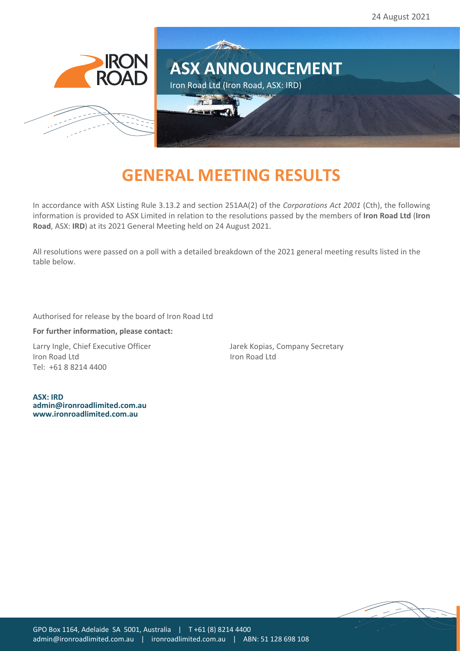

## **GENERAL MEETING RESULTS**

In accordance with ASX Listing Rule 3.13.2 and section 251AA(2) of the *Corporations Act 2001* (Cth), the following information is provided to ASX Limited in relation to the resolutions passed by the members of **Iron Road Ltd** (**Iron Road**, ASX: **IRD**) at its 2021 General Meeting held on 24 August 2021.

All resolutions were passed on a poll with a detailed breakdown of the 2021 general meeting results listed in the table below.

Authorised for release by the board of Iron Road Ltd

## **For further information, please contact:**

Larry Ingle, Chief Executive Officer Jarek Kopias, Company Secretary Iron Road Ltd **Iron Road Ltd** Tel: +61 8 8214 4400

**ASX: IRD [admin@ironroadlimited.com.au](mailto:admin@ironroadlimited.com.au) [www.ironroadlimited.com.au](http://www.ironroadlimited.com.au/)**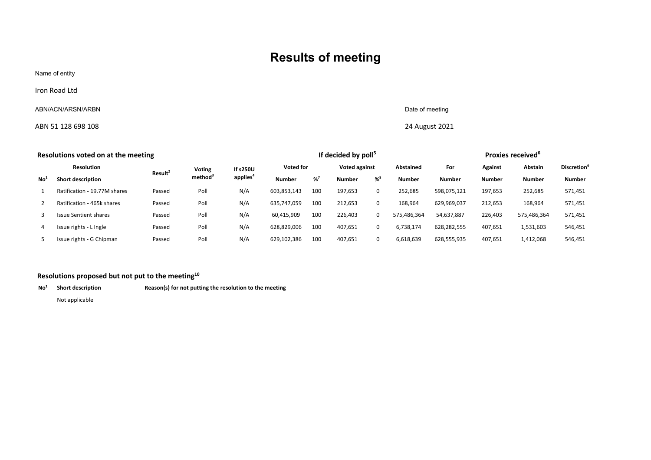## **Results of meeting**

Name of entity

Iron Road Ltd

## ABN/ACN/ARSN/ARBN Date of meeting

ABN 51 128 698 108 24 August 2021

| Resolutions voted on at the meeting |                              |                     |                     |                      | If decided by poll <sup>5</sup> |     |                      |             |               | Proxies received <sup>6</sup> |               |               |                                |
|-------------------------------------|------------------------------|---------------------|---------------------|----------------------|---------------------------------|-----|----------------------|-------------|---------------|-------------------------------|---------------|---------------|--------------------------------|
| <b>Resolution</b>                   |                              |                     | Voting              | If s250U             | <b>Voted for</b>                |     | <b>Voted against</b> |             | Abstained     | For                           | Against       | Abstain       | <b>Discretion</b> <sup>9</sup> |
| No                                  | <b>Short description</b>     | Result <sup>2</sup> | method <sup>3</sup> | applies <sup>4</sup> | <b>Number</b>                   | %7  | <b>Number</b>        | $% ^{8}$    | <b>Number</b> | <b>Number</b>                 | <b>Number</b> | <b>Number</b> | <b>Number</b>                  |
|                                     | Ratification - 19.77M shares | Passed              | Poll                | N/A                  | 603,853,143                     | 100 | 197,653              | $\mathbf 0$ | 252,685       | 598.075.121                   | 197.653       | 252,685       | 571,451                        |
|                                     | Ratification - 465k shares   | Passed              | Poll                | N/A                  | 635.747.059                     | 100 | 212,653              | $\mathbf 0$ | 168,964       | 629,969,037                   | 212,653       | 168,964       | 571,451                        |
|                                     | <b>Issue Sentient shares</b> | Passed              | Poll                | N/A                  | 60,415,909                      | 100 | 226,403              | $\mathbf 0$ | 575,486,364   | 54,637,887                    | 226,403       | 575.486.364   | 571,451                        |
|                                     | Issue rights - L Ingle       | Passed              | Poll                | N/A                  | 628,829,006                     | 100 | 407,651              | $\mathbf 0$ | 6,738,174     | 628,282,555                   | 407,651       | 1,531,603     | 546,451                        |
|                                     | Issue rights - G Chipman     | Passed              | Poll                | N/A                  | 629,102,386                     | 100 | 407,651              | $\mathbf 0$ | 6,618,639     | 628,555,935                   | 407,651       | 1,412,068     | 546,451                        |
|                                     |                              |                     |                     |                      |                                 |     |                      |             |               |                               |               |               |                                |

| Resolutions proposed but not put to the meeting $^{10}$ |                   |                                                         |  |  |  |  |  |  |
|---------------------------------------------------------|-------------------|---------------------------------------------------------|--|--|--|--|--|--|
| No                                                      | Short description | Reason(s) for not putting the resolution to the meeting |  |  |  |  |  |  |
|                                                         |                   |                                                         |  |  |  |  |  |  |
|                                                         |                   |                                                         |  |  |  |  |  |  |